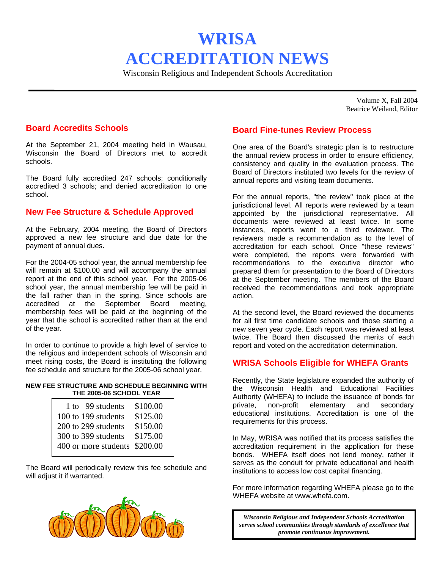# **WRISA ACCREDITATION NEWS**

Wisconsin Religious and Independent Schools Accreditation

Volume X, Fall 2004 Beatrice Weiland, Editor

# **Board Accredits Schools**

At the September 21, 2004 meeting held in Wausau, Wisconsin the Board of Directors met to accredit schools.

The Board fully accredited 247 schools; conditionally accredited 3 schools; and denied accreditation to one school.

# **New Fee Structure & Schedule Approved**

At the February, 2004 meeting, the Board of Directors approved a new fee structure and due date for the payment of annual dues.

For the 2004-05 school year, the annual membership fee will remain at \$100.00 and will accompany the annual report at the end of this school year. For the 2005-06 school year, the annual membership fee will be paid in the fall rather than in the spring. Since schools are accredited at the September Board meeting, membership fees will be paid at the beginning of the year that the school is accredited rather than at the end of the year.

In order to continue to provide a high level of service to the religious and independent schools of Wisconsin and meet rising costs, the Board is instituting the following fee schedule and structure for the 2005-06 school year.

#### **NEW FEE STRUCTURE AND SCHEDULE BEGINNING WITH THE 2005-06 SCHOOL YEAR**

| 1 to 99 students<br>100 to 199 students | \$100.00<br>\$125.00 |
|-----------------------------------------|----------------------|
| 200 to 299 students                     | \$150.00             |
| 300 to 399 students                     | \$175.00             |
| 400 or more students \$200.00           |                      |

The Board will periodically review this fee schedule and will adjust it if warranted.



# **Board Fine-tunes Review Process**

One area of the Board's strategic plan is to restructure the annual review process in order to ensure efficiency, consistency and quality in the evaluation process. The Board of Directors instituted two levels for the review of annual reports and visiting team documents.

For the annual reports, "the review" took place at the jurisdictional level. All reports were reviewed by a team appointed by the jurisdictional representative. All documents were reviewed at least twice. In some instances, reports went to a third reviewer. The reviewers made a recommendation as to the level of accreditation for each school. Once "these reviews" were completed, the reports were forwarded with recommendations to the executive director who prepared them for presentation to the Board of Directors at the September meeting. The members of the Board received the recommendations and took appropriate action.

At the second level, the Board reviewed the documents for all first time candidate schools and those starting a new seven year cycle. Each report was reviewed at least twice. The Board then discussed the merits of each report and voted on the accreditation determination.

### **WRISA Schools Eligible for WHEFA Grants**

Recently, the State legislature expanded the authority of the Wisconsin Health and Educational Facilities Authority (WHEFA) to include the issuance of bonds for private, non-profit elementary and secondary educational institutions. Accreditation is one of the requirements for this process.

In May, WRISA was notified that its process satisfies the accreditation requirement in the application for these bonds. WHEFA itself does not lend money, rather it serves as the conduit for private educational and health institutions to access low cost capital financing.

For more information regarding WHEFA please go to the WHEFA website at www.whefa.com.

*Wisconsin Religious and Independent Schools Accreditation serves school communities through standards of excellence that promote continuous improvement.*